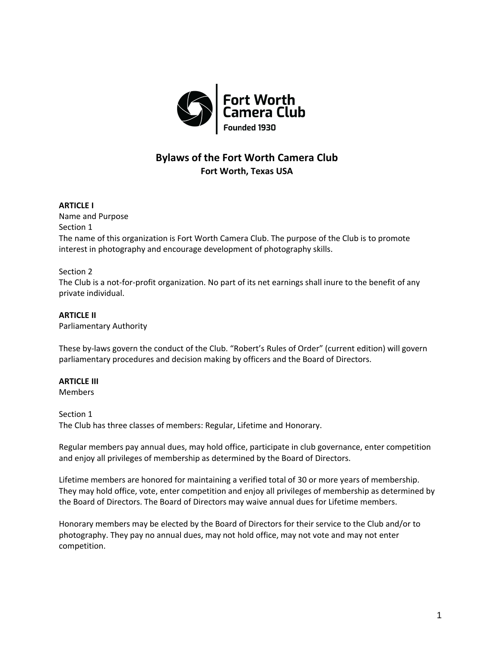

# **Bylaws of the Fort Worth Camera Club Fort Worth, Texas USA**

## **ARTICLE I**

Name and Purpose Section 1 The name of this organization is Fort Worth Camera Club. The purpose of the Club is to promote interest in photography and encourage development of photography skills.

## Section 2

The Club is a not-for-profit organization. No part of its net earnings shall inure to the benefit of any private individual.

## **ARTICLE II**

Parliamentary Authority

These by-laws govern the conduct of the Club. "Robert's Rules of Order" (current edition) will govern parliamentary procedures and decision making by officers and the Board of Directors.

## **ARTICLE III**

Members

#### Section 1

The Club has three classes of members: Regular, Lifetime and Honorary.

Regular members pay annual dues, may hold office, participate in club governance, enter competition and enjoy all privileges of membership as determined by the Board of Directors.

Lifetime members are honored for maintaining a verified total of 30 or more years of membership. They may hold office, vote, enter competition and enjoy all privileges of membership as determined by the Board of Directors. The Board of Directors may waive annual dues for Lifetime members.

Honorary members may be elected by the Board of Directors for their service to the Club and/or to photography. They pay no annual dues, may not hold office, may not vote and may not enter competition.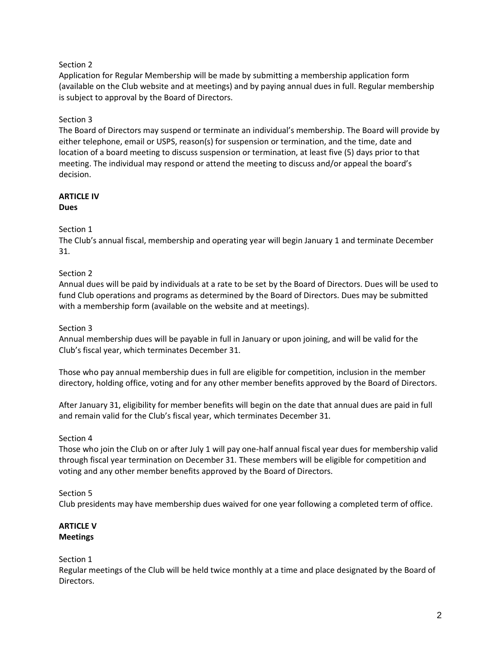Application for Regular Membership will be made by submitting a membership application form (available on the Club website and at meetings) and by paying annual dues in full. Regular membership is subject to approval by the Board of Directors.

# Section 3

The Board of Directors may suspend or terminate an individual's membership. The Board will provide by either telephone, email or USPS, reason(s) for suspension or termination, and the time, date and location of a board meeting to discuss suspension or termination, at least five (5) days prior to that meeting. The individual may respond or attend the meeting to discuss and/or appeal the board's decision.

#### **ARTICLE IV Dues**

## Section 1

The Club's annual fiscal, membership and operating year will begin January 1 and terminate December 31.

## Section 2

Annual dues will be paid by individuals at a rate to be set by the Board of Directors. Dues will be used to fund Club operations and programs as determined by the Board of Directors. Dues may be submitted with a membership form (available on the website and at meetings).

## Section 3

Annual membership dues will be payable in full in January or upon joining, and will be valid for the Club's fiscal year, which terminates December 31.

Those who pay annual membership dues in full are eligible for competition, inclusion in the member directory, holding office, voting and for any other member benefits approved by the Board of Directors.

After January 31, eligibility for member benefits will begin on the date that annual dues are paid in full and remain valid for the Club's fiscal year, which terminates December 31.

## Section 4

Those who join the Club on or after July 1 will pay one-half annual fiscal year dues for membership valid through fiscal year termination on December 31. These members will be eligible for competition and voting and any other member benefits approved by the Board of Directors.

# Section 5

Club presidents may have membership dues waived for one year following a completed term of office.

### **ARTICLE V Meetings**

#### Section 1

Regular meetings of the Club will be held twice monthly at a time and place designated by the Board of Directors.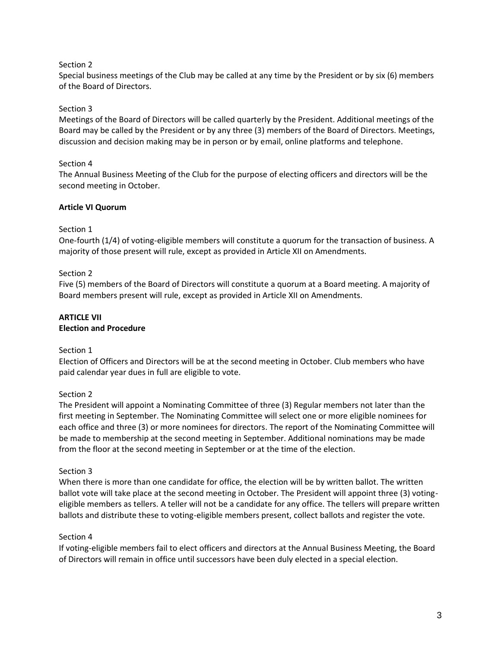Special business meetings of the Club may be called at any time by the President or by six (6) members of the Board of Directors.

## Section 3

Meetings of the Board of Directors will be called quarterly by the President. Additional meetings of the Board may be called by the President or by any three (3) members of the Board of Directors. Meetings, discussion and decision making may be in person or by email, online platforms and telephone.

## Section 4

The Annual Business Meeting of the Club for the purpose of electing officers and directors will be the second meeting in October.

## **Article VI Quorum**

## Section 1

One-fourth (1/4) of voting-eligible members will constitute a quorum for the transaction of business. A majority of those present will rule, except as provided in Article XII on Amendments.

## Section 2

Five (5) members of the Board of Directors will constitute a quorum at a Board meeting. A majority of Board members present will rule, except as provided in Article XII on Amendments.

# **ARTICLE VII**

# **Election and Procedure**

## Section 1

Election of Officers and Directors will be at the second meeting in October. Club members who have paid calendar year dues in full are eligible to vote.

## Section 2

The President will appoint a Nominating Committee of three (3) Regular members not later than the first meeting in September. The Nominating Committee will select one or more eligible nominees for each office and three (3) or more nominees for directors. The report of the Nominating Committee will be made to membership at the second meeting in September. Additional nominations may be made from the floor at the second meeting in September or at the time of the election.

## Section 3

When there is more than one candidate for office, the election will be by written ballot. The written ballot vote will take place at the second meeting in October. The President will appoint three (3) votingeligible members as tellers. A teller will not be a candidate for any office. The tellers will prepare written ballots and distribute these to voting-eligible members present, collect ballots and register the vote.

## Section 4

If voting-eligible members fail to elect officers and directors at the Annual Business Meeting, the Board of Directors will remain in office until successors have been duly elected in a special election.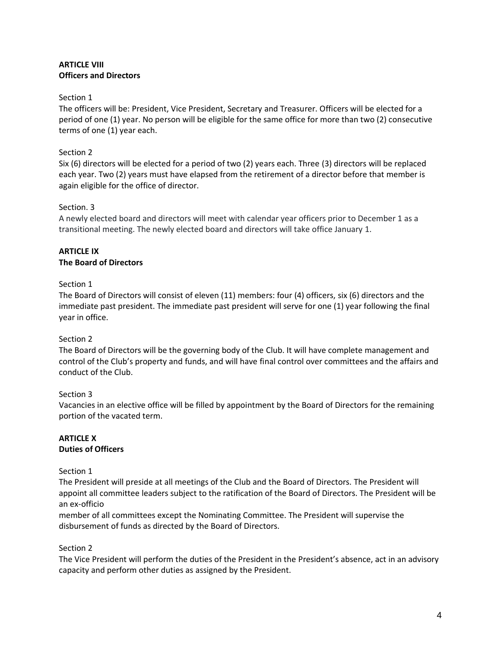## **ARTICLE VIII Officers and Directors**

#### Section 1

The officers will be: President, Vice President, Secretary and Treasurer. Officers will be elected for a period of one (1) year. No person will be eligible for the same office for more than two (2) consecutive terms of one (1) year each.

## Section 2

Six (6) directors will be elected for a period of two (2) years each. Three (3) directors will be replaced each year. Two (2) years must have elapsed from the retirement of a director before that member is again eligible for the office of director.

#### Section. 3

A newly elected board and directors will meet with calendar year officers prior to December 1 as a transitional meeting. The newly elected board and directors will take office January 1.

## **ARTICLE IX The Board of Directors**

## Section 1

The Board of Directors will consist of eleven (11) members: four (4) officers, six (6) directors and the immediate past president. The immediate past president will serve for one (1) year following the final year in office.

## Section 2

The Board of Directors will be the governing body of the Club. It will have complete management and control of the Club's property and funds, and will have final control over committees and the affairs and conduct of the Club.

## Section 3

Vacancies in an elective office will be filled by appointment by the Board of Directors for the remaining portion of the vacated term.

#### **ARTICLE X Duties of Officers**

## Section 1

The President will preside at all meetings of the Club and the Board of Directors. The President will appoint all committee leaders subject to the ratification of the Board of Directors. The President will be an ex-officio

member of all committees except the Nominating Committee. The President will supervise the disbursement of funds as directed by the Board of Directors.

#### Section 2

The Vice President will perform the duties of the President in the President's absence, act in an advisory capacity and perform other duties as assigned by the President.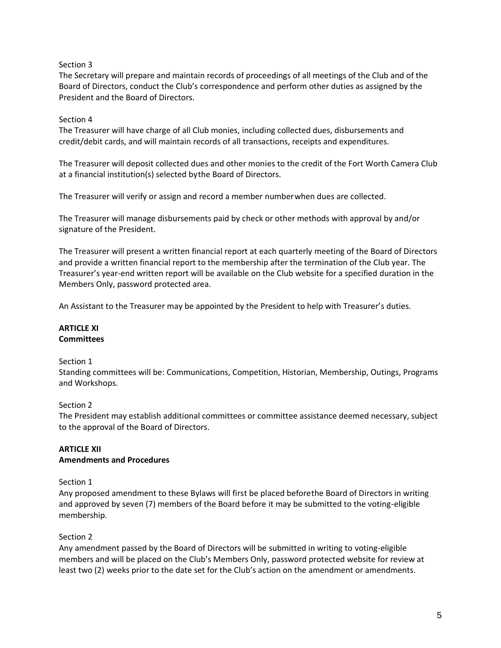The Secretary will prepare and maintain records of proceedings of all meetings of the Club and of the Board of Directors, conduct the Club's correspondence and perform other duties as assigned by the President and the Board of Directors.

## Section 4

The Treasurer will have charge of all Club monies, including collected dues, disbursements and credit/debit cards, and will maintain records of all transactions, receipts and expenditures.

The Treasurer will deposit collected dues and other monies to the credit of the Fort Worth Camera Club at a financial institution(s) selected bythe Board of Directors.

The Treasurer will verify or assign and record a member numberwhen dues are collected.

The Treasurer will manage disbursements paid by check or other methods with approval by and/or signature of the President.

The Treasurer will present a written financial report at each quarterly meeting of the Board of Directors and provide a written financial report to the membership after the termination of the Club year. The Treasurer's year-end written report will be available on the Club website for a specified duration in the Members Only, password protected area.

An Assistant to the Treasurer may be appointed by the President to help with Treasurer's duties.

## **ARTICLE XI Committees**

## Section 1

Standing committees will be: Communications, Competition, Historian, Membership, Outings, Programs and Workshops.

## Section 2

The President may establish additional committees or committee assistance deemed necessary, subject to the approval of the Board of Directors.

# **ARTICLE XII Amendments and Procedures**

## Section 1

Any proposed amendment to these Bylaws will first be placed beforethe Board of Directors in writing and approved by seven (7) members of the Board before it may be submitted to the voting-eligible membership.

## Section 2

Any amendment passed by the Board of Directors will be submitted in writing to voting-eligible members and will be placed on the Club's Members Only, password protected website for review at least two (2) weeks prior to the date set for the Club's action on the amendment or amendments.